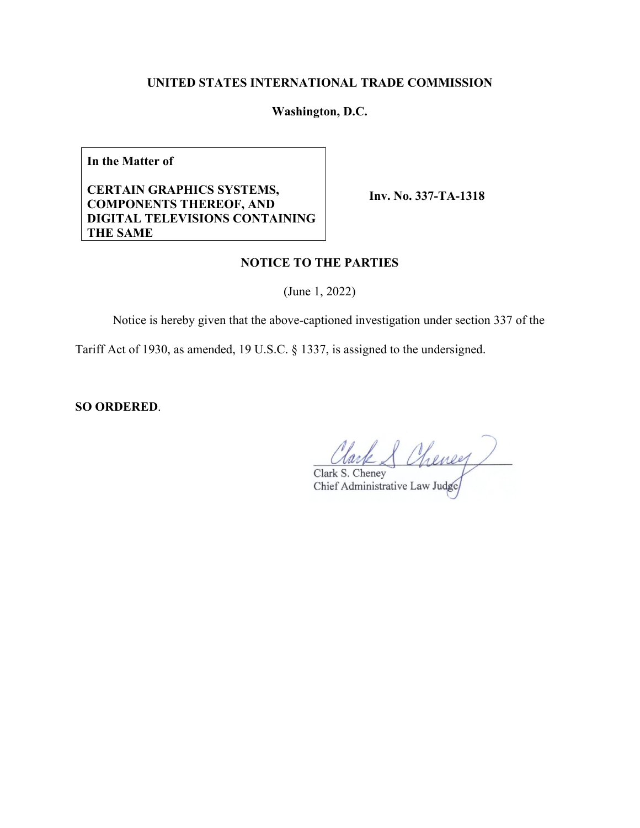# **UNITED STATES INTERNATIONAL TRADE COMMISSION**

### **Washington, D.C.**

**In the Matter of**

**CERTAIN GRAPHICS SYSTEMS, COMPONENTS THEREOF, AND DIGITAL TELEVISIONS CONTAINING THE SAME**

**Inv. No. 337-TA-1318**

## **NOTICE TO THE PARTIES**

(June 1, 2022)

Notice is hereby given that the above-captioned investigation under section 337 of the

Tariff Act of 1930, as amended, 19 U.S.C. § 1337, is assigned to the undersigned.

**SO ORDERED**.

Clark S Cheney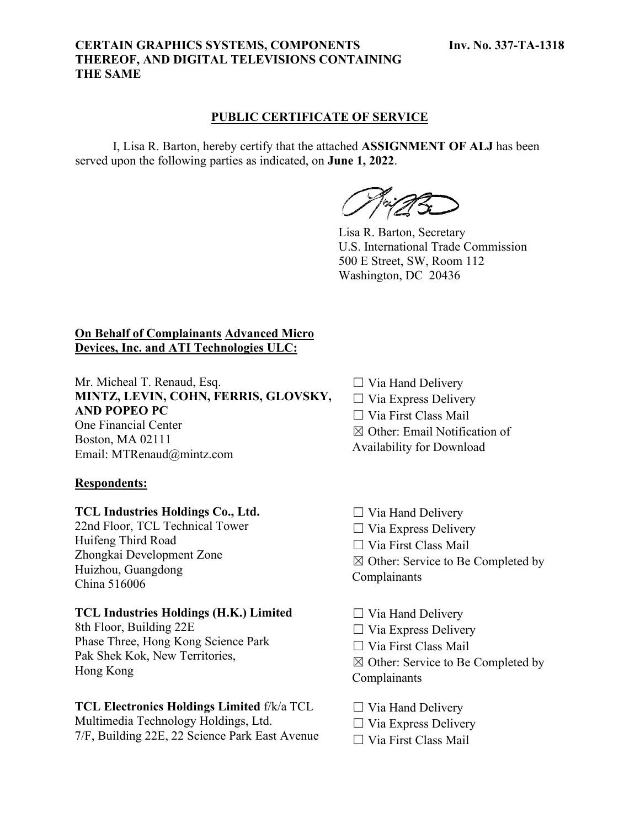### **CERTAIN GRAPHICS SYSTEMS, COMPONENTS THEREOF, AND DIGITAL TELEVISIONS CONTAINING THE SAME**

### **PUBLIC CERTIFICATE OF SERVICE**

I, Lisa R. Barton, hereby certify that the attached **ASSIGNMENT OF ALJ** has been served upon the following parties as indicated, on **June 1, 2022**.

Lisa R. Barton, Secretary U.S. International Trade Commission 500 E Street, SW, Room 112 Washington, DC 20436

# **On Behalf of Complainants Advanced Micro Devices, Inc. and ATI Technologies ULC:**

Mr. Micheal T. Renaud, Esq. **MINTZ, LEVIN, COHN, FERRIS, GLOVSKY, AND POPEO PC** One Financial Center Boston, MA 02111 Email: MTRenaud@mintz.com

#### **Respondents:**

### **TCL Industries Holdings Co., Ltd.**

22nd Floor, TCL Technical Tower Huifeng Third Road Zhongkai Development Zone Huizhou, Guangdong China 516006

#### **TCL Industries Holdings (H.K.) Limited**

8th Floor, Building 22E Phase Three, Hong Kong Science Park Pak Shek Kok, New Territories, Hong Kong

#### **TCL Electronics Holdings Limited** f/k/a TCL

Multimedia Technology Holdings, Ltd. 7/F, Building 22E, 22 Science Park East Avenue

- $\Box$  Via Hand Delivery  $\Box$  Via Express Delivery ☐ Via First Class Mail ☒ Other: Email Notification of Availability for Download
- □ Via Hand Delivery  $\Box$  Via Express Delivery ☐ Via First Class Mail ☒ Other: Service to Be Completed by Complainants
- $\Box$  Via Hand Delivery  $\Box$  Via Express Delivery ☐ Via First Class Mail ☒ Other: Service to Be Completed by Complainants
- ☐ Via Hand Delivery
- $\Box$  Via Express Delivery
- ☐ Via First Class Mail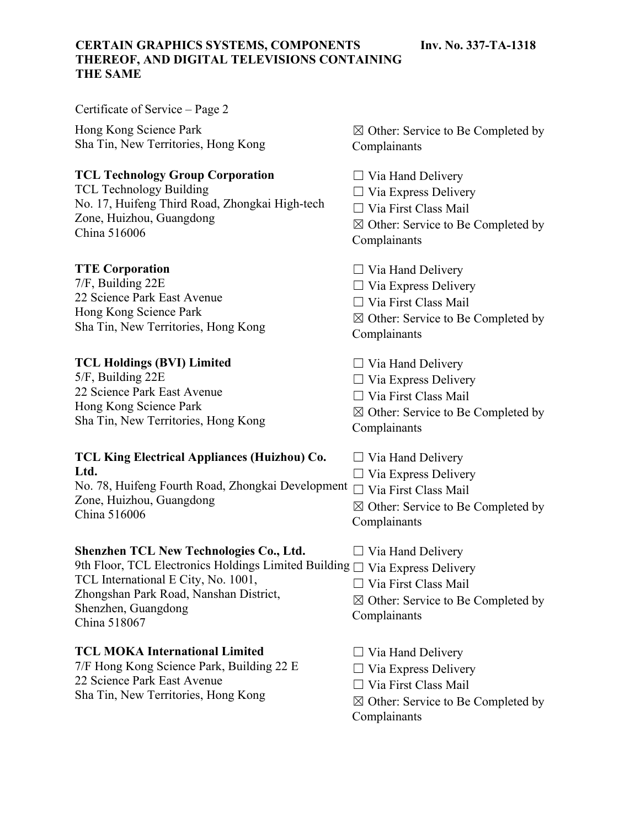### **CERTAIN GRAPHICS SYSTEMS, COMPONENTS THEREOF, AND DIGITAL TELEVISIONS CONTAINING THE SAME**

Certificate of Service – Page 2

Hong Kong Science Park Sha Tin, New Territories, Hong Kong

### **TCL Technology Group Corporation**

TCL Technology Building No. 17, Huifeng Third Road, Zhongkai High-tech Zone, Huizhou, Guangdong China 516006

## **TTE Corporation**

7/F, Building 22E 22 Science Park East Avenue Hong Kong Science Park Sha Tin, New Territories, Hong Kong

# **TCL Holdings (BVI) Limited**

5/F, Building 22E 22 Science Park East Avenue Hong Kong Science Park Sha Tin, New Territories, Hong Kong

## **TCL King Electrical Appliances (Huizhou) Co. Ltd.**

No. 78, Huifeng Fourth Road, Zhongkai Development □ Via First Class Mail Zone, Huizhou, Guangdong China 516006

### **Shenzhen TCL New Technologies Co., Ltd.**

9th Floor, TCL Electronics Holdings Limited Building ☐ Via Express Delivery TCL International E City, No. 1001, Zhongshan Park Road, Nanshan District, Shenzhen, Guangdong China 518067

### **TCL MOKA International Limited**

7/F Hong Kong Science Park, Building 22 E 22 Science Park East Avenue Sha Tin, New Territories, Hong Kong

 $\boxtimes$  Other: Service to Be Completed by Complainants

 $\Box$  Via Hand Delivery  $\Box$  Via Express Delivery ☐ Via First Class Mail ☒ Other: Service to Be Completed by Complainants

□ Via Hand Delivery  $\Box$  Via Express Delivery ☐ Via First Class Mail ⊠ Other: Service to Be Completed by Complainants

□ Via Hand Delivery  $\Box$  Via Express Delivery ☐ Via First Class Mail ☒ Other: Service to Be Completed by Complainants

 $\Box$  Via Hand Delivery  $\Box$  Via Express Delivery ☒ Other: Service to Be Completed by Complainants

 $\Box$  Via Hand Delivery

☐ Via First Class Mail

☒ Other: Service to Be Completed by Complainants

 $\Box$  Via Hand Delivery  $\Box$  Via Express Delivery ☐ Via First Class Mail ☒ Other: Service to Be Completed by Complainants